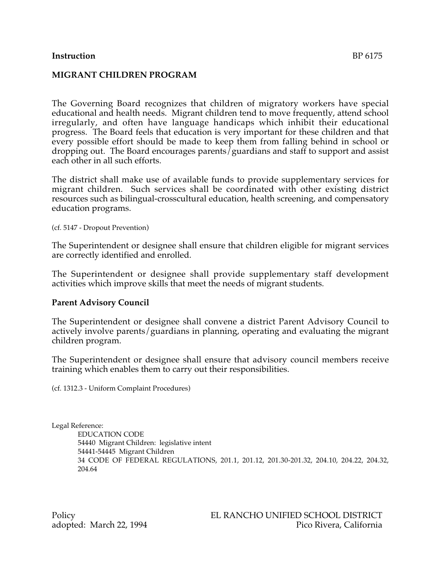## **Instruction** BP 6175

### **MIGRANT CHILDREN PROGRAM**

The Governing Board recognizes that children of migratory workers have special educational and health needs. Migrant children tend to move frequently, attend school irregularly, and often have language handicaps which inhibit their educational progress. The Board feels that education is very important for these children and that every possible effort should be made to keep them from falling behind in school or dropping out. The Board encourages parents/guardians and staff to support and assist each other in all such efforts.

The district shall make use of available funds to provide supplementary services for migrant children. Such services shall be coordinated with other existing district resources such as bilingual-crosscultural education, health screening, and compensatory education programs.

(cf. 5147 - Dropout Prevention)

The Superintendent or designee shall ensure that children eligible for migrant services are correctly identified and enrolled.

The Superintendent or designee shall provide supplementary staff development activities which improve skills that meet the needs of migrant students.

### **Parent Advisory Council**

The Superintendent or designee shall convene a district Parent Advisory Council to actively involve parents/guardians in planning, operating and evaluating the migrant children program.

The Superintendent or designee shall ensure that advisory council members receive training which enables them to carry out their responsibilities.

(cf. 1312.3 - Uniform Complaint Procedures)

Legal Reference:

EDUCATION CODE 54440 Migrant Children: legislative intent 54441-54445 Migrant Children 34 CODE OF FEDERAL REGULATIONS, 201.1, 201.12, 201.30-201.32, 204.10, 204.22, 204.32, 204.64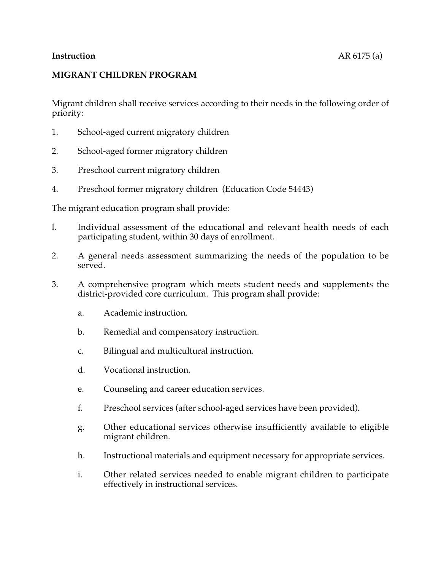## **MIGRANT CHILDREN PROGRAM**

Migrant children shall receive services according to their needs in the following order of priority:

- 1. School-aged current migratory children
- 2. School-aged former migratory children
- 3. Preschool current migratory children
- 4. Preschool former migratory children (Education Code 54443)

The migrant education program shall provide:

- l. Individual assessment of the educational and relevant health needs of each participating student, within 30 days of enrollment.
- 2. A general needs assessment summarizing the needs of the population to be served.
- 3. A comprehensive program which meets student needs and supplements the district-provided core curriculum. This program shall provide:
	- a. Academic instruction.
	- b. Remedial and compensatory instruction.
	- c. Bilingual and multicultural instruction.
	- d. Vocational instruction.
	- e. Counseling and career education services.
	- f. Preschool services (after school-aged services have been provided).
	- g. Other educational services otherwise insufficiently available to eligible migrant children.
	- h. Instructional materials and equipment necessary for appropriate services.
	- i. Other related services needed to enable migrant children to participate effectively in instructional services.